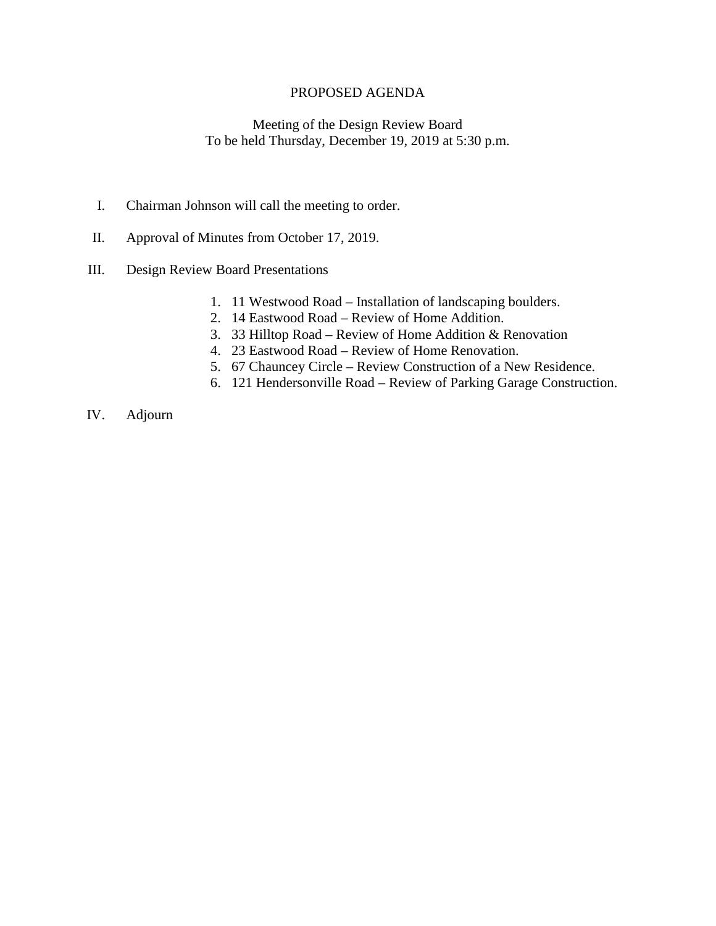## PROPOSED AGENDA

## Meeting of the Design Review Board To be held Thursday, December 19, 2019 at 5:30 p.m.

- I. Chairman Johnson will call the meeting to order.
- II. Approval of Minutes from October 17, 2019.
- III. Design Review Board Presentations
	- 1. 11 Westwood Road Installation of landscaping boulders.
	- 2. 14 Eastwood Road Review of Home Addition.
	- 3. 33 Hilltop Road Review of Home Addition & Renovation
	- 4. 23 Eastwood Road Review of Home Renovation.
	- 5. 67 Chauncey Circle Review Construction of a New Residence.
	- 6. 121 Hendersonville Road Review of Parking Garage Construction.
- IV. Adjourn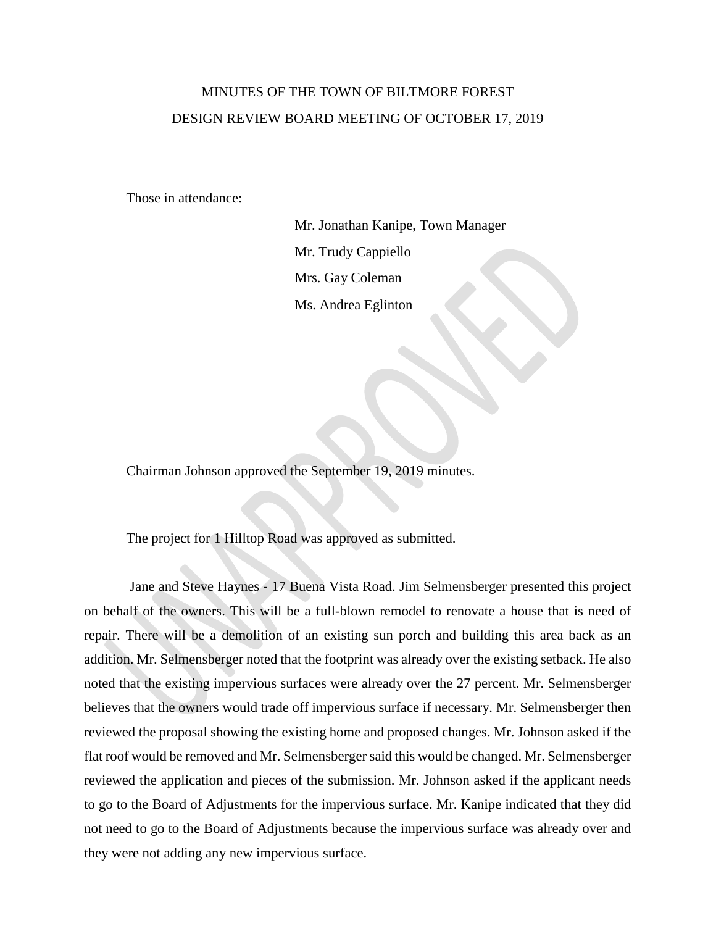## MINUTES OF THE TOWN OF BILTMORE FOREST DESIGN REVIEW BOARD MEETING OF OCTOBER 17, 2019

Those in attendance:

 Mr. Jonathan Kanipe, Town Manager Mr. Trudy Cappiello Mrs. Gay Coleman Ms. Andrea Eglinton

Chairman Johnson approved the September 19, 2019 minutes.

The project for 1 Hilltop Road was approved as submitted.

 Jane and Steve Haynes - 17 Buena Vista Road. Jim Selmensberger presented this project on behalf of the owners. This will be a full-blown remodel to renovate a house that is need of repair. There will be a demolition of an existing sun porch and building this area back as an addition. Mr. Selmensberger noted that the footprint was already over the existing setback. He also noted that the existing impervious surfaces were already over the 27 percent. Mr. Selmensberger believes that the owners would trade off impervious surface if necessary. Mr. Selmensberger then reviewed the proposal showing the existing home and proposed changes. Mr. Johnson asked if the flat roof would be removed and Mr. Selmensberger said this would be changed. Mr. Selmensberger reviewed the application and pieces of the submission. Mr. Johnson asked if the applicant needs to go to the Board of Adjustments for the impervious surface. Mr. Kanipe indicated that they did not need to go to the Board of Adjustments because the impervious surface was already over and they were not adding any new impervious surface.